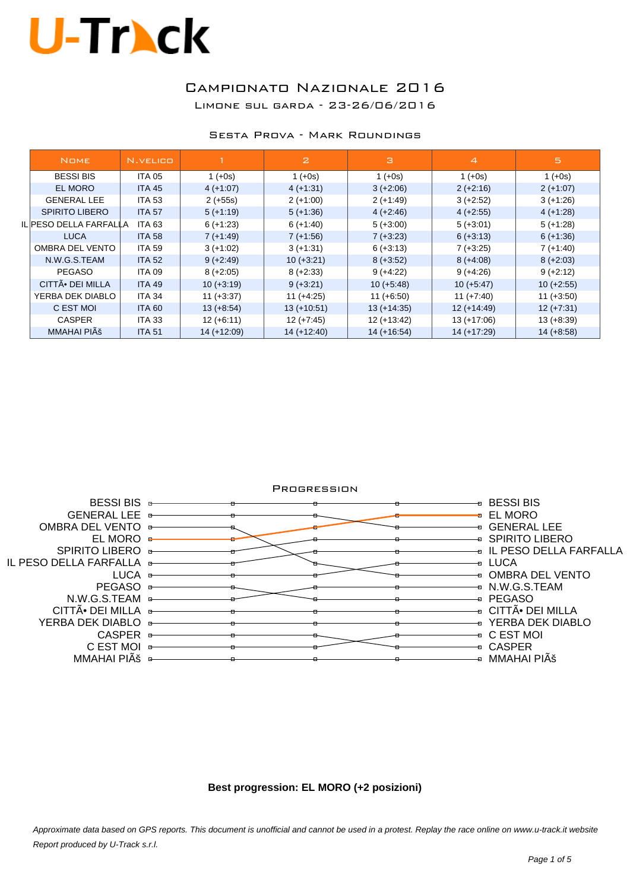### Campionato Nazionale 2016 Limone sul garda - 23-26/06/2016

#### Sesta Prova - Mark Roundings

|  | <b>NOME</b>                  | N.VELICO      |               | $\mathbf{z}$  | з             | $\overline{4}$ | 5            |
|--|------------------------------|---------------|---------------|---------------|---------------|----------------|--------------|
|  | <b>BESSI BIS</b>             | <b>ITA 05</b> | $1 (+0s)$     | $1 (+0s)$     | $1 (+0s)$     | $1 (+0s)$      | $1 (+0s)$    |
|  | <b>EL MORO</b>               | <b>ITA 45</b> | $4 (+1.07)$   | $4 (+1.31)$   | $3 (+2.06)$   | $2 (+2:16)$    | $2 (+1:07)$  |
|  | <b>GENERAL LEE</b>           | <b>ITA 53</b> | $2 (+55s)$    | $2 (+1:00)$   | $2 (+1:49)$   | $3 (+2:52)$    | $3 (+1:26)$  |
|  | <b>SPIRITO LIBERO</b>        | <b>ITA 57</b> | $5 (+1:19)$   | $5 (+1:36)$   | $4 (+2.46)$   | $4 (+2.55)$    | $4 (+1:28)$  |
|  | IL PESO DELLA FARFALLA       | <b>ITA 63</b> | $6 (+1:23)$   | $6 (+1:40)$   | $5 (+3:00)$   | $5 (+3.01)$    | $5 (+1:28)$  |
|  | <b>LUCA</b>                  | <b>ITA 58</b> | $7 (+1.49)$   | $7 (+1.56)$   | $7 (+3.23)$   | $6 (+3:13)$    | $6 (+1:36)$  |
|  | OMBRA DEL VENTO              | <b>ITA 59</b> | $3 (+1.02)$   | $3 (+1:31)$   | $6 (+3:13)$   | $7 (+3:25)$    | $7 (+1:40)$  |
|  | N.W.G.S.TEAM                 | <b>ITA 52</b> | $9 (+2:49)$   | $10 (+3:21)$  | $8 (+3.52)$   | $8 (+4.08)$    | $8 (+2:03)$  |
|  | <b>PEGASO</b>                | <b>ITA 09</b> | $8 (+2.05)$   | $8 (+2.33)$   | $9 (+4.22)$   | $9 (+4.26)$    | $9 (+2:12)$  |
|  | CITTÃ <sup>•</sup> DEI MILLA | <b>ITA 49</b> | $10 (+3:19)$  | $9 (+3.21)$   | $10 (+5.48)$  | $10 (+5.47)$   | $10 (+2.55)$ |
|  | YERBA DEK DIABLO             | <b>ITA 34</b> | $11 (+3:37)$  | $11 (+4.25)$  | $11 (+6.50)$  | $11 (+7:40)$   | $11 (+3.50)$ |
|  | C EST MOI                    | <b>ITA 60</b> | $13 (+8.54)$  | $13 (+10.51)$ | $13 (+14.35)$ | $12 (+14.49)$  | $12 (+7:31)$ |
|  | <b>CASPER</b>                | <b>ITA 33</b> | $12 (+6:11)$  | $12 (+7:45)$  | $12 (+13.42)$ | $13 (+17:06)$  | $13 (+8.39)$ |
|  | MMAHAI PIÊ                   | <b>ITA 51</b> | $14 (+12:09)$ | $14 (+12:40)$ | $14 (+16.54)$ | $14 (+17.29)$  | $14 (+8.58)$ |



#### **Best progression: EL MORO (+2 posizioni)**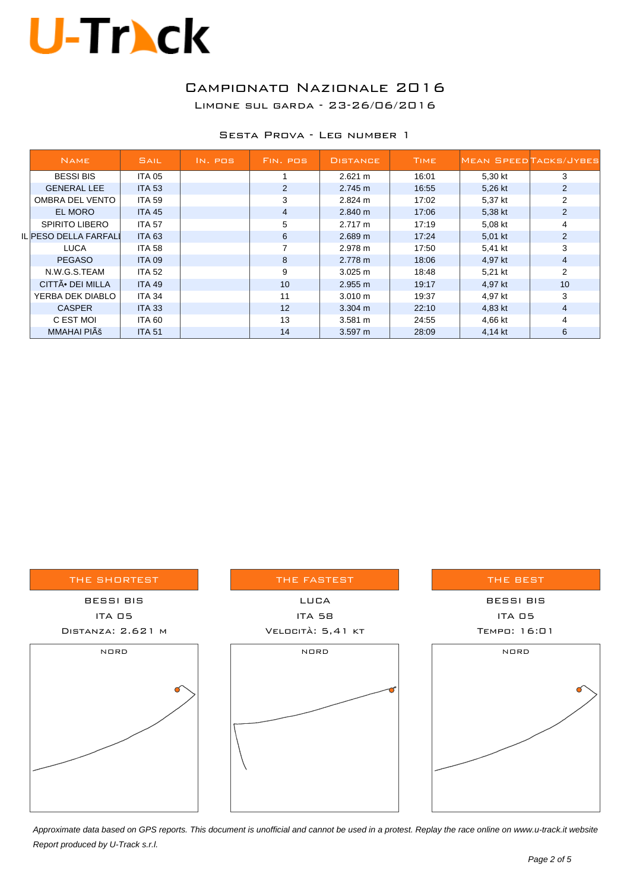### Campionato Nazionale 2016

Limone sul garda - 23-26/06/2016

| SESTA PROVA - LEG NUMBER 1 |
|----------------------------|
|----------------------------|

|  | <b>NAME</b>           | SAIL          | IN. POS | FIN. POS       | <b>DISTANCE</b>   | <b>TIME</b> | <b>MEAN SPEED TACKS/JYBES</b> |                |
|--|-----------------------|---------------|---------|----------------|-------------------|-------------|-------------------------------|----------------|
|  | <b>BESSI BIS</b>      | ITA 05        |         |                | 2.621 m           | 16:01       | 5,30 kt                       | 3              |
|  | <b>GENERAL LEE</b>    | <b>ITA 53</b> |         | $\overline{2}$ | 2.745 m           | 16:55       | 5,26 kt                       | $\overline{2}$ |
|  | OMBRA DEL VENTO       | <b>ITA 59</b> |         | 3              | 2.824 m           | 17:02       | 5,37 kt                       | $\overline{2}$ |
|  | EL MORO               | <b>ITA 45</b> |         | $\overline{4}$ | 2.840 m           | 17:06       | 5,38 kt                       | $\overline{2}$ |
|  | <b>SPIRITO LIBERO</b> | <b>ITA 57</b> |         | 5              | $2.717 \text{ m}$ | 17:19       | 5,08 kt                       | 4              |
|  | IL PESO DELLA FARFALI | <b>ITA 63</b> |         | 6              | 2.689 m           | 17:24       | 5,01 kt                       | $\overline{2}$ |
|  | <b>LUCA</b>           | <b>ITA 58</b> |         | 7              | 2.978 m           | 17:50       | 5,41 kt                       | 3              |
|  | <b>PEGASO</b>         | <b>ITA 09</b> |         | 8              | 2.778 m           | 18:06       | 4,97 kt                       | $\overline{4}$ |
|  | N.W.G.S.TEAM          | <b>ITA 52</b> |         | 9              | 3.025 m           | 18:48       | 5,21 kt                       | 2              |
|  | CITTÃ. DEI MILLA      | <b>ITA 49</b> |         | 10             | 2.955 m           | 19:17       | 4,97 kt                       | 10             |
|  | YERBA DEK DIABLO      | ITA 34        |         | 11             | $3.010 \text{ m}$ | 19:37       | 4,97 kt                       | 3              |
|  | <b>CASPER</b>         | <b>ITA 33</b> |         | 12             | $3.304 \text{ m}$ | 22:10       | 4,83 kt                       | $\overline{4}$ |
|  | C EST MOI             | ITA 60        |         | 13             | $3.581 \text{ m}$ | 24:55       | 4,66 kt                       | 4              |
|  | MMAHAI PIÊ            | <b>ITA 51</b> |         | 14             | 3.597 m           | 28:09       | 4,14 kt                       | 6              |

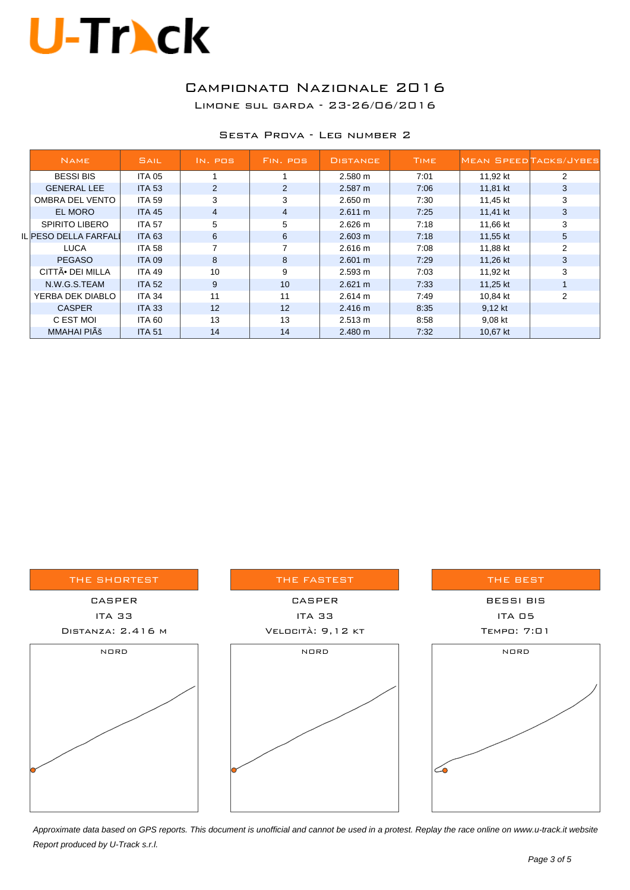### Campionato Nazionale 2016

Limone sul garda - 23-26/06/2016

#### Sesta Prova - Leg number 2

| <b>NAME</b>           | <b>SAIL</b>   | IN. POS        | FIN. POS       | <b>DISTANCE</b>   | <b>TIME</b> |          | <b>MEAN SPEED TACKS/JYBES</b> |
|-----------------------|---------------|----------------|----------------|-------------------|-------------|----------|-------------------------------|
| <b>BESSI BIS</b>      | <b>ITA 05</b> |                |                | $2.580 \text{ m}$ | 7:01        | 11.92 kt | 2                             |
| <b>GENERAL LEE</b>    | <b>ITA 53</b> | $\overline{2}$ | $\overline{2}$ | 2.587 m           | 7:06        | 11,81 kt | 3                             |
| OMBRA DEL VENTO       | <b>ITA 59</b> | 3              | 3              | 2.650 m           | 7:30        | 11,45 kt | 3                             |
| EL MORO               | <b>ITA 45</b> | 4              | $\overline{4}$ | $2.611 \text{ m}$ | 7:25        | 11,41 kt | 3                             |
| SPIRITO LIBERO        | <b>ITA 57</b> | 5              | 5              | 2.626 m           | 7:18        | 11,66 kt | 3                             |
| IL PESO DELLA FARFALI | <b>ITA 63</b> | 6              | 6              | 2.603 m           | 7:18        | 11,55 kt | 5                             |
| <b>LUCA</b>           | <b>ITA 58</b> |                | 7              | 2.616 m           | 7:08        | 11,88 kt | $\overline{2}$                |
| <b>PEGASO</b>         | <b>ITA 09</b> | 8              | 8              | 2.601 m           | 7:29        | 11,26 kt | 3                             |
| CITTÃ. DEI MILLA      | <b>ITA 49</b> | 10             | 9              | 2.593 m           | 7:03        | 11,92 kt | 3                             |
| N.W.G.S.TEAM          | <b>ITA 52</b> | 9              | 10             | 2.621 m           | 7:33        | 11,25 kt |                               |
| YERBA DEK DIABLO      | <b>ITA 34</b> | 11             | 11             | 2.614 m           | 7:49        | 10.84 kt | 2                             |
| <b>CASPER</b>         | <b>ITA 33</b> | 12             | 12             | 2.416 m           | 8:35        | 9,12 kt  |                               |
| C EST MOI             | <b>ITA 60</b> | 13             | 13             | 2.513 m           | 8:58        | 9,08 kt  |                               |
| MMAHAI PIÊ            | <b>ITA 51</b> | 14             | 14             | 2.480 m           | 7:32        | 10.67 kt |                               |

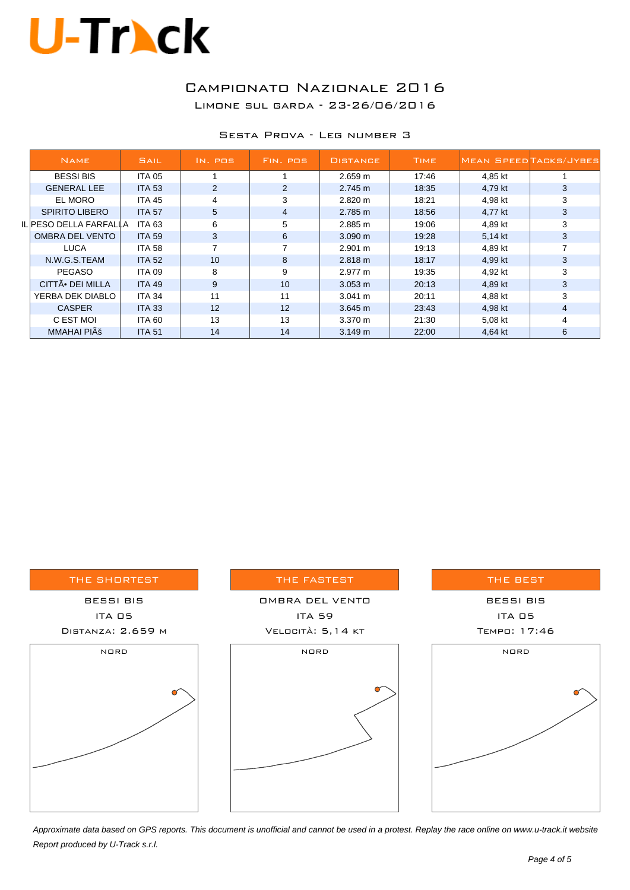### Campionato Nazionale 2016

Limone sul garda - 23-26/06/2016

|  |  |  |  | SESTA PROVA - LEG NUMBER 3 |  |
|--|--|--|--|----------------------------|--|
|--|--|--|--|----------------------------|--|

|  | <b>NAME</b>            | <b>SAIL</b>   | IN. POS        | FIN. POS        | <b>DISTANCE</b>   | <b>TIME</b> | <b>MEAN SPEED TACKS/JYBES</b> |   |
|--|------------------------|---------------|----------------|-----------------|-------------------|-------------|-------------------------------|---|
|  | <b>BESSI BIS</b>       | <b>ITA 05</b> |                |                 | 2.659 m           | 17:46       | 4.85 kt                       |   |
|  | <b>GENERAL LEE</b>     | <b>ITA 53</b> | $\overline{2}$ | $\overline{2}$  | $2.745 \text{ m}$ | 18:35       | 4,79 kt                       | 3 |
|  | EL MORO                | <b>ITA 45</b> | 4              | 3               | 2.820 m           | 18:21       | 4,98 kt                       | 3 |
|  | <b>SPIRITO LIBERO</b>  | <b>ITA 57</b> | 5              | $\overline{4}$  | $2.785 \text{ m}$ | 18:56       | 4,77 kt                       | 3 |
|  | IL PESO DELLA FARFALLA | <b>ITA 63</b> | 6              | 5               | 2.885 m           | 19:06       | 4,89 kt                       | 3 |
|  | OMBRA DEL VENTO        | <b>ITA 59</b> | 3              | 6               | $3.090 \text{ m}$ | 19:28       | 5,14 kt                       | 3 |
|  | <b>LUCA</b>            | <b>ITA 58</b> |                |                 | 2.901 m           | 19:13       | 4.89 kt                       |   |
|  | N.W.G.S.TEAM           | <b>ITA 52</b> | 10             | 8               | 2.818 m           | 18:17       | 4,99 kt                       | 3 |
|  | <b>PEGASO</b>          | <b>ITA 09</b> | 8              | 9               | 2.977 m           | 19:35       | 4,92 kt                       | 3 |
|  | CITTÃ. DEI MILLA       | <b>ITA 49</b> | 9              | 10 <sup>°</sup> | $3.053 \text{ m}$ | 20:13       | 4,89 kt                       | 3 |
|  | YERBA DEK DIABLO       | <b>ITA 34</b> | 11             | 11              | $3.041 \text{ m}$ | 20:11       | 4,88 kt                       | 3 |
|  | <b>CASPER</b>          | <b>ITA 33</b> | 12             | 12              | 3.645 m           | 23.43       | 4,98 kt                       | 4 |
|  | C EST MOI              | <b>ITA 60</b> | 13             | 13              | $3.370 \text{ m}$ | 21:30       | 5,08 kt                       | 4 |
|  | MMAHAI PIÊ             | <b>ITA 51</b> | 14             | 14              | 3.149 m           | 22:00       | 4,64 kt                       | 6 |